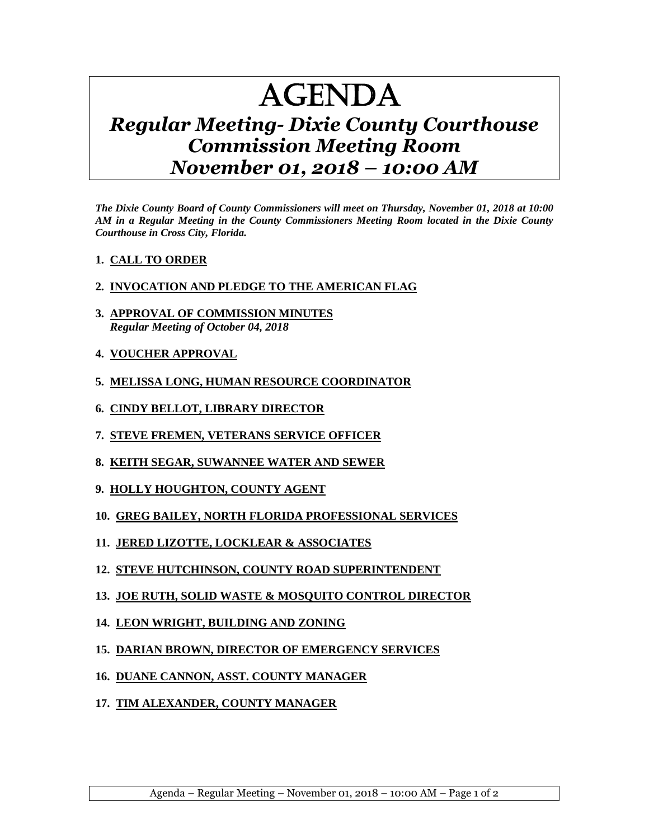## AGENDA

## *Regular Meeting- Dixie County Courthouse Commission Meeting Room November 01, 2018 – 10:00 AM*

*The Dixie County Board of County Commissioners will meet on Thursday, November 01, 2018 at 10:00 AM in a Regular Meeting in the County Commissioners Meeting Room located in the Dixie County Courthouse in Cross City, Florida.*

## **1. CALL TO ORDER**

## **2. INVOCATION AND PLEDGE TO THE AMERICAN FLAG**

- **3. APPROVAL OF COMMISSION MINUTES** *Regular Meeting of October 04, 2018*
- **4. VOUCHER APPROVAL**
- **5. MELISSA LONG, HUMAN RESOURCE COORDINATOR**
- **6. CINDY BELLOT, LIBRARY DIRECTOR**
- **7. STEVE FREMEN, VETERANS SERVICE OFFICER**
- **8. KEITH SEGAR, SUWANNEE WATER AND SEWER**
- **9. HOLLY HOUGHTON, COUNTY AGENT**
- **10. GREG BAILEY, NORTH FLORIDA PROFESSIONAL SERVICES**
- **11. JERED LIZOTTE, LOCKLEAR & ASSOCIATES**
- **12. STEVE HUTCHINSON, COUNTY ROAD SUPERINTENDENT**
- **13. JOE RUTH, SOLID WASTE & MOSQUITO CONTROL DIRECTOR**
- **14. LEON WRIGHT, BUILDING AND ZONING**
- **15. DARIAN BROWN, DIRECTOR OF EMERGENCY SERVICES**
- **16. DUANE CANNON, ASST. COUNTY MANAGER**
- **17. TIM ALEXANDER, COUNTY MANAGER**